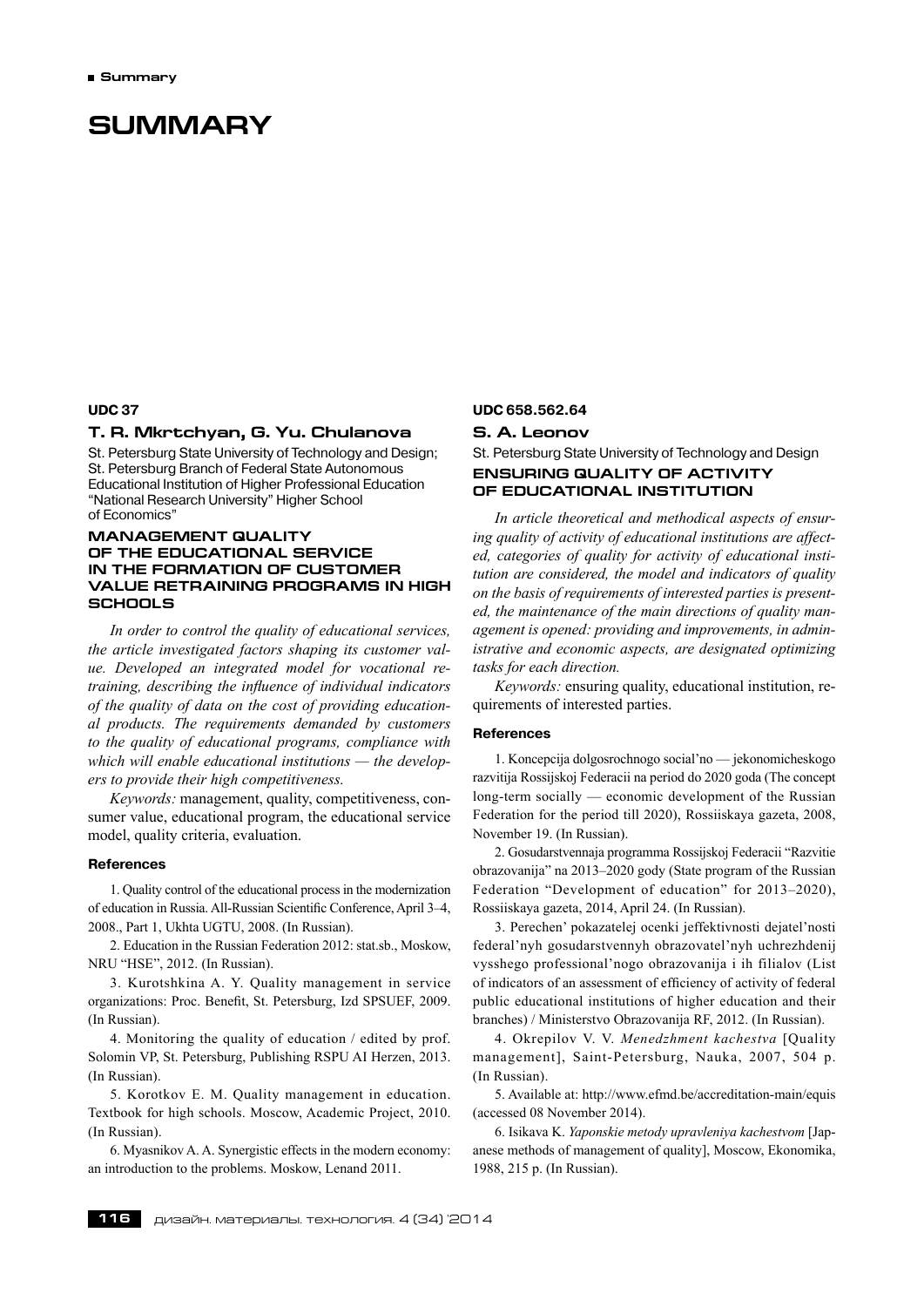# **Summary**

#### **UDC 37**

# **T. R. Mkrtchyan, G. Yu. Chulanova**

St. Petersburg State University of Technology and Design; St. Petersburg Branch of Federal State Autonomous Educational Institution of Higher Professional Education "National Research University" Higher School of Economics"

# **Management quality of the educational service in the formation of customer value retraining programs in high schools**

*In order to control the quality of educational services, the article investigated factors shaping its customer value. Developed an integrated model for vocational retraining, describing the influence of individual indicators of the quality of data on the cost of providing educational products. The requirements demanded by customers to the quality of educational programs, compliance with which will enable educational institutions — the developers to provide their high competitiveness.*

*Keywords:* management, quality, competitiveness, consumer value, educational program, the educational service model, quality criteria, evaluation.

#### **References**

1. Quality control of the educational process in the modernization of education in Russia. All-Russian Scientific Conference, April 3–4, 2008., Part 1, Ukhta UGTU, 2008. (In Russian).

2. Education in the Russian Federation 2012: stat.sb., Moskow, NRU "HSE", 2012. (In Russian).

3. Kurotshkina A. Y. Quality management in service organizations: Proc. Benefit, St. Petersburg, Izd SPSUEF, 2009. (In Russian).

4. Monitoring the quality of education / edited by prof. Solomin VP, St. Petersburg, Publishing RSPU AI Herzen, 2013. (In Russian).

5. Korotkov E. M. Quality management in education. Textbook for high schools. Moscow, Academic Project, 2010. (In Russian).

6. Myasnikov A. A. Synergistic effects in the modern economy: an introduction to the problems. Moskow, Lenand 2011.

#### **UDC 658.562.64**

### **S. A. Leonov**

# St. Petersburg State University of Technology and Design **Ensuring quality of activity of educational institution**

*In article theoretical and methodical aspects of ensuring quality of activity of educational institutions are affected, categories of quality for activity of educational institution are considered, the model and indicators of quality on the basis of requirements of interested parties is presented, the maintenance of the main directions of quality management is opened: providing and improvements, in administrative and economic aspects, are designated optimizing tasks for each direction.*

*Keywords:* ensuring quality, educational institution, requirements of interested parties.

#### **References**

1. Koncepcija dolgosrochnogo social'no — jekonomicheskogo razvitija Rossijskoj Federacii na period do 2020 goda (The concept long-term socially — economic development of the Russian Federation for the period till 2020), Rossiiskaya gazeta, 2008, November 19. (In Russian).

2. Gosudarstvennaja programma Rossijskoj Federacii "Razvitie obrazovanija" na 2013–2020 gody (State program of the Russian Federation "Development of education" for 2013–2020), Rossiiskaya gazeta, 2014, April 24. (In Russian).

3. Perechen' pokazatelej ocenki jeffektivnosti dejatel'nosti federal'nyh gosudarstvennyh obrazovatel'nyh uchrezhdenij vysshego professional'nogo obrazovanija i ih filialov (List of indicators of an assessment of efficiency of activity of federal public educational institutions of higher education and their branches) / Ministerstvo Obrazovanija RF, 2012. (In Russian).

4. Okrepilov V. V. *Menedzhment kachestva* [Quality management], Saint-Petersburg, Nauka, 2007, 504 p. (In Russian).

5. Available at: http://www.efmd.be/accreditation-main/equis (accessed 08 November 2014).

6. Isikava K. *Yaponskie metody upravleniya kachestvom* [Japanese methods of management of quality], Moscow, Ekonomika, 1988, 215 p. (In Russian).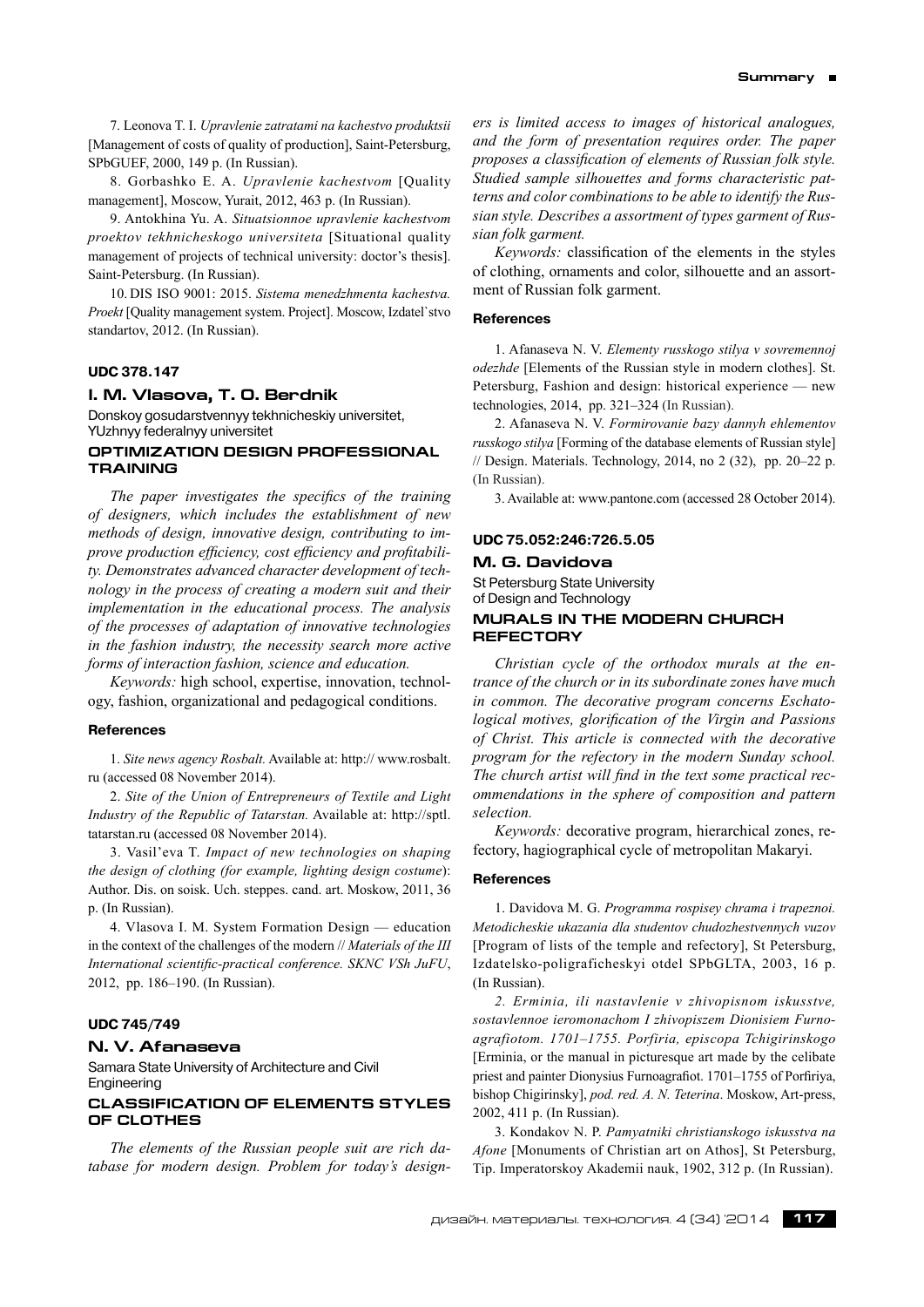7. Leonova T. I. *Upravlenie zatratami na kachestvo produktsii* [Management of costs of quality of production], Saint-Petersburg, SPbGUEF, 2000, 149 p. (In Russian).

8. Gorbashko E. A. *Upravlenie kachestvom* [Quality management], Moscow, Yurait, 2012, 463 p. (In Russian).

9. Antokhina Yu. A. *Situatsionnoe upravlenie kachestvom proektov tekhnicheskogo universiteta* [Situational quality management of projects of technical university: doctor's thesis]. Saint-Petersburg. (In Russian).

10. DIS ISO 9001: 2015. *Sistema menedzhmenta kachestva. Proekt* [Quality management system. Project]. Moscow, Izdatel`stvo standartov, 2012. (In Russian).

# **UDC 378.147**

#### **I. M. Vlasova, Т. о. Berdnik**

Donskoy gosudarstvennyy tekhnicheskiy universitet, YUzhnyy federalnyy universitet

# **OPTIMIZATION DESIGN PROFESSIONAL TRAINING**

*The paper investigates the specifics of the training of designers, which includes the establishment of new methods of design, innovative design, contributing to improve production efficiency, cost efficiency and profitability. Demonstrates advanced character development of technology in the process of creating a modern suit and their implementation in the educational process. The analysis of the processes of adaptation of innovative technologies in the fashion industry, the necessity search more active forms of interaction fashion, science and education.*

*Keywords:* high school, expertise, innovation, technology, fashion, organizational and pedagogical conditions.

#### **References**

1. *Site news agency Rosbalt.* Available at: http:// www.rosbalt. ru (accessed 08 November 2014).

2. *Site of the Union of Entrepreneurs of Textile and Light Industry of the Republic of Tatarstan.* Available at: http://sptl. tatarstan.ru (accessed 08 November 2014).

3. Vasil'eva T. *Impact of new technologies on shaping the design of clothing (for example, lighting design costume*): Author. Dis. on soisk. Uch. steppes. cand. art. Moskow, 2011, 36 p. (In Russian).

4. Vlasova I. M. System Formation Design — education in the context of the challenges of the modern // *Materials of the III International scientific-practical conference. SKNC VSh JuFU*, 2012, pp. 186–190. (In Russian).

### **UDC 745/749**

# **N. V. Afanaseva**

Samara State University of Architecture and Civil **Engineering** 

# **Classification of elements styles of clothes**

*The elements of the Russian people suit are rich database for modern design. Problem for today's design-* *ers is limited access to images of historical analogues, and the form of presentation requires order. The paper proposes a classification of elements of Russian folk style. Studied sample silhouettes and forms characteristic patterns and color combinations to be able to identify the Russian style. Describes a assortment of types garment of Russian folk garment.*

*Keywords:* classification of the elements in the styles of clothing, ornaments and color, silhouette and an assortment of Russian folk garment.

# **References**

1. Afanaseva N. V. *Elementy russkogo stilya v sovremennoj odezhde* [Elements of the Russian style in modern clothes]. St. Petersburg, Fashion and design: historical experience — new technologies, 2014, pp. 321–324 (In Russian).

2. Afanaseva N. V. *Formirovanie bazy dannyh ehlementov russkogo stilya* [Forming of the database elements of Russian style] // Design. Materials. Technology, 2014, no 2 (32), pp. 20–22 p. (In Russian).

3. Available at: www.pantone.com (accessed 28 October 2014).

# **UDC 75.052:246:726.5.05**

### **M. G. Davidova**

St Petersburg State University of Design and Technology

# **MURALS IN THE MODERN CHURCH REFECTORY**

*Christian cycle of the orthodox murals at the entrance of the church or in its subordinate zones have much in common. The decorative program concerns Eschatological motives, glorification of the Virgin and Passions of Christ. This article is connected with the decorative program for the refectory in the modern Sunday school. The church artist will find in the text some practical recommendations in the sphere of composition and pattern selection.*

*Keywords:* decorative program, hierarchical zones, refectory, hagiographical cycle of metropolitan Makaryi.

#### **References**

1. Davidova M. G. *Programma rospisey chrama i trapeznoi. Metodicheskie ukazania dla studentov chudozhestvennych vuzov* [Program of lists of the temple and refectory], St Petersburg, Izdatelsko-poligraficheskyi otdel SPbGLTA, 2003, 16 p. (In Russian).

*2. Erminia, ili nastavlenie v zhivopisnom iskusstve, sostavlennoe ieromonachom I zhivopiszem Dionisiem Furnoagrafiotom. 1701–1755. Porfiria, episcopa Tchigirinskogo* [Erminia, or the manual in picturesque art made by the celibate priest and painter Dionysius Furnoagrafiot. 1701–1755 of Porfiriya, bishop Chigirinsky], *pod. red. A. N. Teterina*. Moskow, Art-press, 2002, 411 p. (In Russian).

3. Kondakov N. P. *Pamyatniki christianskogo iskusstva na Afone* [Monuments of Christian art on Athos], St Petersburg, Tip. Imperatorskoy Akademii nauk, 1902, 312 p. (In Russian).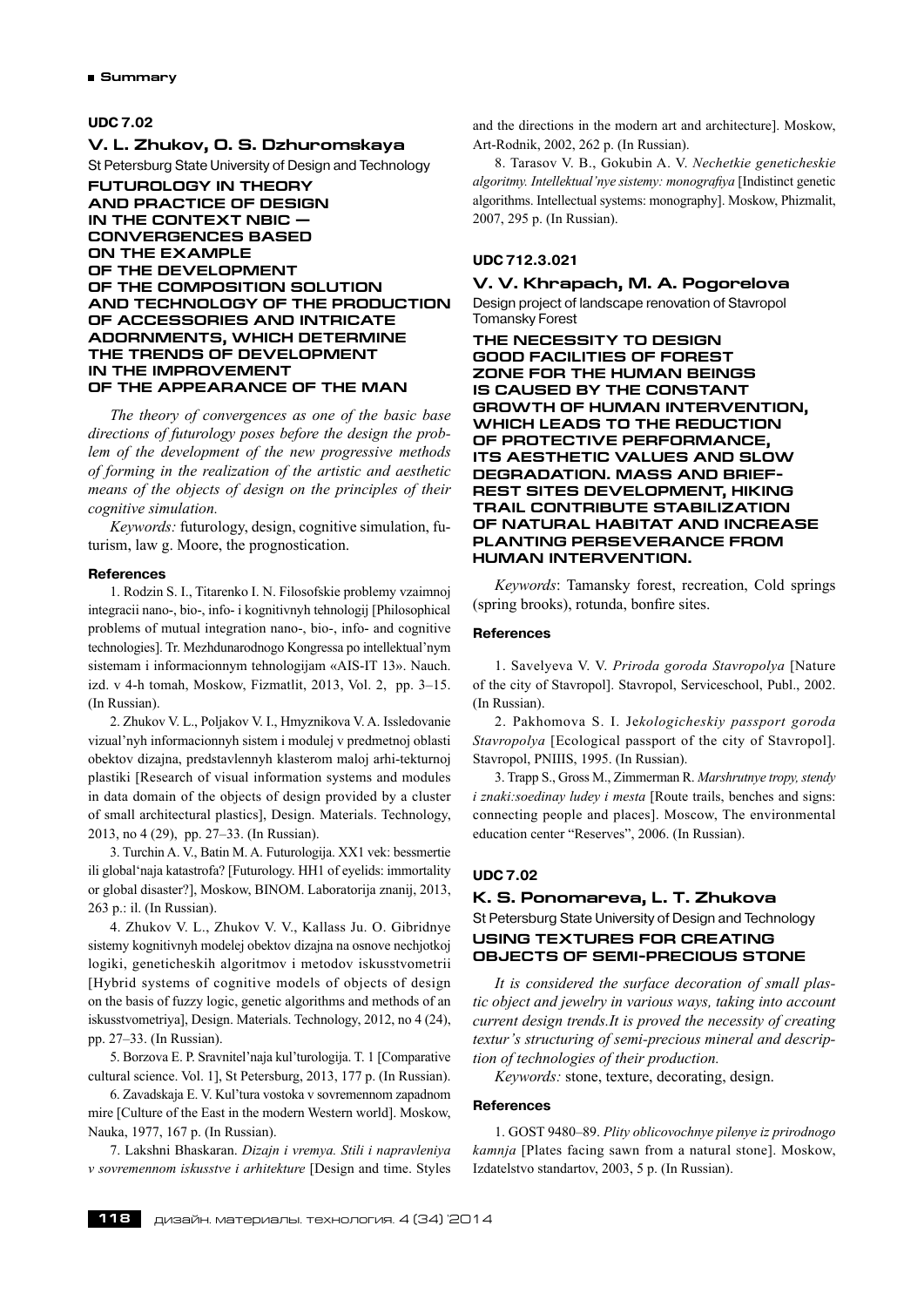# **UDC 7.02**

#### **V. L. Zhukov, O. S. Dzhuromskaya**

St Petersburg State University of Design and Technology

# **Futurology in theory and practice of design in the context NBIC convergences based on the example of the development of the composition solution and technology of the production of accessories and intricate adornments, which determine the trends of development in the improvement of the appearance of the man**

*The theory of convergences as one of the basic base directions of futurology poses before the design the problem of the development of the new progressive methods of forming in the realization of the artistic and aesthetic means of the objects of design on the principles of their cognitive simulation.*

*Keywords:* futurology, design, cognitive simulation, futurism, law g. Moore, the prognostication.

### **References**

1. Rodzin S. I., Titarenko I. N. Filosofskie problemy vzaimnoj integracii nano-, bio-, info- i kognitivnyh tehnologij [Philosophical problems of mutual integration nano-, bio-, info- and cognitive technologies]. Tr. Mezhdunarodnogo Kongressa po intellektual'nym sistemam i informacionnym tehnologijam «AIS-IT 13». Nauch. izd. v 4-h tomah, Moskow, Fizmatlit, 2013, Vol. 2, pp. 3–15. (In Russian).

2. Zhukov V. L., Poljakov V. I., Hmyznikova V. A. Issledovanie vizual'nyh informacionnyh sistem i modulej v predmetnoj oblasti obektov dizajna, predstavlennyh klasterom maloj arhi-tekturnoj plastiki [Research of visual information systems and modules in data domain of the objects of design provided by a cluster of small architectural plastics], Design. Materials. Technology, 2013, no 4 (29), pp. 27–33. (In Russian).

3. Turchin A. V., Batin M. A. Futurologija. XX1 vek: bessmertie ili global'naja katastrofa? [Futurology. HH1 of eyelids: immortality or global disaster?], Moskow, BINOM. Laboratorija znanij, 2013, 263 p.: il. (In Russian).

4. Zhukov V. L., Zhukov V. V., Kallass Ju. O. Gibridnye sistemy kognitivnyh modelej obektov dizajna na osnove nechjotkoj logiki, geneticheskih algoritmov i metodov iskusstvometrii [Hybrid systems of cognitive models of objects of design on the basis of fuzzy logic, genetic algorithms and methods of an iskusstvometriya], Design. Materials. Technology, 2012, no 4 (24), pp. 27–33. (In Russian).

5. Borzova E. P. Sravnitel'naja kul'turologija. T. 1 [Comparative cultural science. Vol. 1], St Petersburg, 2013, 177 p. (In Russian).

6. Zavadskaja E. V. Kul'tura vostoka v sovremennom zapadnom mire [Culture of the East in the modern Western world]. Moskow, Nauka, 1977, 167 p. (In Russian).

7. Lakshni Bhaskaran. *Dizajn i vremya. Stili i napravleniya v sovremennom iskusstve i arhitekture* [Design and time. Styles and the directions in the modern art and architecture]. Moskow, Art-Rodnik, 2002, 262 p. (In Russian).

8. Tarasov V. B., Gokubin A. V. *Nechetkie geneticheskie algoritmy. Intellektual'nye sistemy: monografiya* [Indistinct genetic algorithms. Intellectual systems: monography]. Moskow, Phizmalit, 2007, 295 p. (In Russian).

# **UDC 712.3.021**

# **V. V. Khrapach, М. а. Pogorelova**

Design project of landscape renovation of Stavropol Tomansky Forest

**The necessity to design good facilities of forest zone for the human beings is caused by the constant growth of human intervention, which leads to the reduction of protective performance, its aesthetic values and slow degradation. Mass and briefrest sites development, hiking trail contribute stabilization of natural habitat and increase planting perseverance from human intervention.**

*Keywords*: Tamansky forest, recreation, Cold springs (spring brooks), rotunda, bonfire sites.

#### **References**

1. Savelyeva V. V. *Priroda goroda Stavropolya* [Nature of the city of Stavropol]. Stavropol, Serviceschool, Publ., 2002. (In Russian).

2. Pakhomova S. I. Je*kologicheskiy passport goroda Stavropolya* [Ecological passport of the city of Stavropol]. Stavropol, PNIIIS, 1995. (In Russian).

3. Trapp S., Gross M., Zimmerman R. *Marshrutnye tropy, stendy i znaki:soedinay ludey i mesta* [Route trails, benches and signs: connecting people and places]. Moscow, The environmental education center "Reserves", 2006. (In Russian).

# **UDC 7.02**

# **K. S. Ponomareva, L. T. Zhukova** St Petersburg State University of Design and Technology **Using textures for creating objects of semi-precious stone**

*It is considered the surface decoration of small plastic object and jewelry in various ways, taking into account current design trends.It is proved the necessity of creating textur's structuring of semi-precious mineral and description of technologies of their production.*

*Keywords:* stone, texture, decorating, design.

#### **References**

1. GOST 9480–89. *Plity oblicovochnye pilenye iz prirodnogo kamnja* [Plates facing sawn from a natural stone]. Moskow, Izdatelstvo standartov, 2003, 5 p. (In Russian).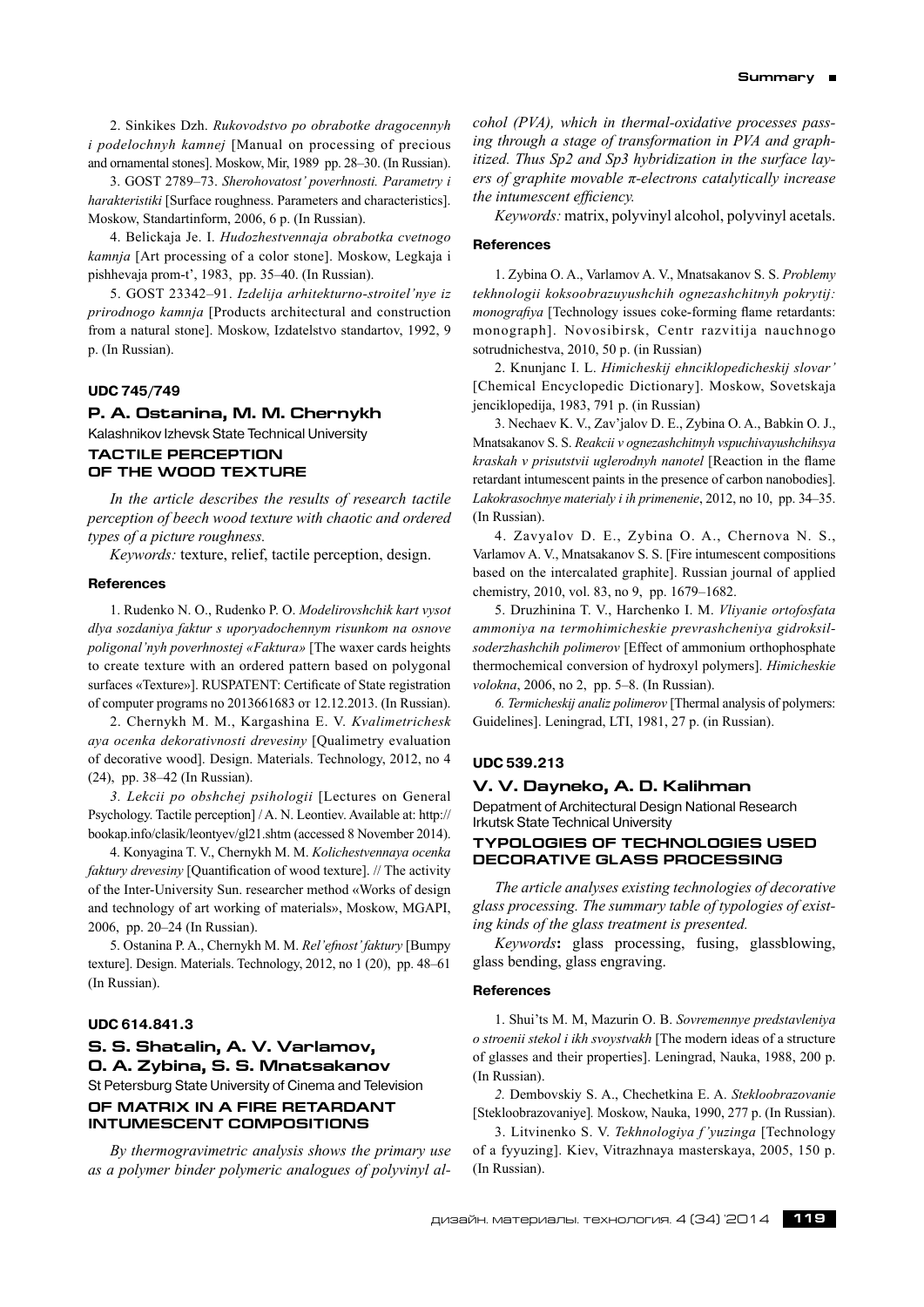2. Sinkikes Dzh. *Rukovodstvo po obrabotke dragocennyh i podelochnyh kamnej* [Manual on processing of precious and ornamental stones]. Moskow, Mir, 1989 pp. 28–30. (In Russian).

3. GOST 2789–73. *Sherohovatost' poverhnosti. Parametry i harakteristiki* [Surface roughness. Parameters and characteristics]. Moskow, Standartinform, 2006, 6 p. (In Russian).

4. Belickaja Je. I. *Hudozhestvennaja obrabotka cvetnogo kamnja* [Art processing of a color stone]. Moskow, Legkaja i pishhevaja prom-t', 1983, pp. 35–40. (In Russian).

5. GOST 23342–91. *Izdelija arhitekturno-stroitel'nye iz prirodnogo kamnja* [Products architectural and construction from a natural stone]. Moskow, Izdatelstvo standartov, 1992, 9 p. (In Russian).

#### **UDC 745/749**

# **P. A. Ostanina, M. M. Chernykh** Kalashnikov Izhevsk State Technical University **TACTILE PERCEPTION OF THE WOOD TEXTURE**

*In the article describes the results of research tactile perception of beech wood texture with chaotic and ordered types of a picture roughness.*

*Keywords:* texture, relief, tactile perception, design.

# **References**

1. Rudenko N. O., Rudenko P. O. *Modelirovshchik kart vysot dlya sozdaniya faktur s uporyadochennym risunkom na osnove poligonal'nyh poverhnostej «Faktura»* [The waxer cards heights to create texture with an ordered pattern based on polygonal surfaces «Texture»]. RUSPATENT: Certificate of State registration of computer programs no 2013661683 от 12.12.2013. (In Russian).

2. Chernykh M. M., Kargashina E. V. *Kvalimetrichesk aya ocenka dekorativnosti drevesiny* [Qualimetry evaluation of decorative wood]. Design. Materials. Technology, 2012, no 4 (24), pp. 38–42 (In Russian).

*3. Lekcii po obshchej psihologii* [Lectures on General Psychology. Tactile perception] / A. N. Leontiev. Available at: http:// bookap.info/clasik/leontyev/gl21.shtm (accessed 8 November 2014).

4. Konyagina T. V., Chernykh M. M. *Kolichestvennaya ocenka faktury drevesiny* [Quantification of wood texture]. // The activity of the Inter-University Sun. researcher method «Works of design and technology of art working of materials», Moskow, MGAPI, 2006, pp. 20–24 (In Russian).

5. Ostanina P. A., Chernykh M. M. *Rel'efnost'faktury* [Bumpy texture]. Design. Materials. Technology, 2012, no 1 (20), pp. 48–61 (In Russian).

# **UDC 614.841.3**

# **S. S. Shatalin, A. V. Varlamov, O. A. Zybina, S. S. Mnatsakanov** St Petersburg State University of Cinema and Television **Of matrix in a fire retardant intumescent compositions**

*By thermogravimetric analysis shows the primary use as a polymer binder polymeric analogues of polyvinyl al-* *cohol (PVA), which in thermal-oxidative processes passing through a stage of transformation in PVA and graphitized. Thus Sp2 and Sp3 hybridization in the surface layers of graphite movable π-electrons catalytically increase the intumescent efficiency.*

*Keywords:* matrix, polyvinyl alcohol, polyvinyl acetals.

### **References**

1. Zybina O. A., Varlamov A. V., Mnatsakanov S. S. *Problemy tekhnologii koksoobrazuyushchih ognezashchitnyh pokrytij: monografiya* [Technology issues coke-forming flame retardants: monograph]. Novosibirsk, Centr razvitija nauchnogo sotrudnichestva, 2010, 50 p. (in Russian)

2. Knunjanc I. L. *Himicheskij ehnciklopedicheskij slovar'* [Chemical Encyclopedic Dictionary]. Moskow, Sovetskaja jenciklopedija, 1983, 791 p. (in Russian)

3. Nechaev K. V., Zav'jalov D. E., Zybina O. A., Babkin O. J., Mnatsakanov S. S. *Reakcii v ognezashchitnyh vspuchivayushchihsya kraskah v prisutstvii uglerodnyh nanotel* [Reaction in the flame retardant intumescent paints in the presence of carbon nanobodies]. *Lakokrasochnye materialy i ih primenenie*, 2012, no 10, pp. 34–35. (In Russian).

4. Zavyalov D. E., Zybina O. A., Chernova N. S., Varlamov A. V., Mnatsakanov S. S. [Fire intumescent compositions based on the intercalated graphite]. Russian journal of applied chemistry, 2010, vol. 83, no 9, pp. 1679–1682.

5. Druzhinina T. V., Harchenko I. M. *Vliyanie ortofosfata ammoniya na termohimicheskie prevrashcheniya gidroksilsoderzhashchih polimerov* [Effect of ammonium orthophosphate thermochemical conversion of hydroxyl polymers]. *Himicheskie volokna*, 2006, no 2, pp. 5–8. (In Russian).

*6. Termicheskij analiz polimerov* [Thermal analysis of polymers: Guidelines]. Leningrad, LTI, 1981, 27 p. (in Russian).

# **UDC 539.213**

**V. V. Dayneko, A. D. Kalihman**

Depatment of Architectural Design National Research Irkutsk State Technical University

# **TYPOLOGIES OF TECHNOLOGIES USED DECORATIVE GLASS PROCESSING**

*The article analyses existing technologies of decorative glass processing. The summary table of typologies of existing kinds of the glass treatment is presented.*

*Keywords***:** glass processing, fusing, glassblowing, glass bending, glass engraving.

### **References**

1. Shui'ts M. M, Mazurin O. B. *Sovremennye predstavleniya o stroenii stekol i ikh svoystvakh* [The modern ideas of a structure of glasses and their properties]. Leningrad, Nauka, 1988, 200 p. (In Russian).

*2.* Dembovskiy S. A., Chechetkina E. A. *Stekloobrazovanie* [Stekloobrazovaniye]*.* Moskow, Nauka, 1990, 277 p. (In Russian).

3. Litvinenko S. V. *Tekhnologiya f 'yuzinga* [Technology of a fyyuzing]. Kiev, Vitrazhnaya masterskaya, 2005, 150 p. (In Russian).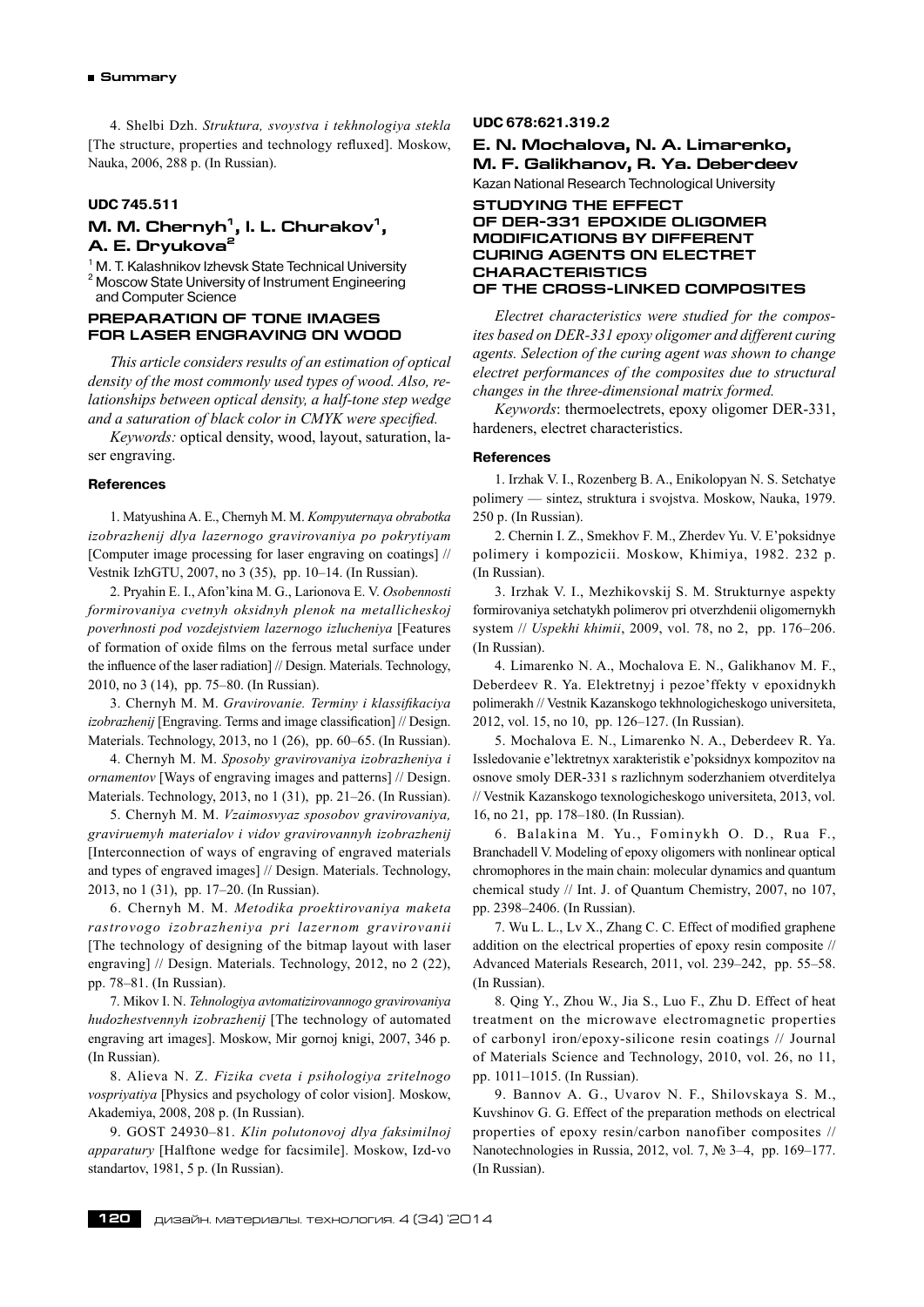4. Shelbi Dzh. *Struktura, svoystva i tekhnologiya stekla* [The structure, properties and technology refluxed]. Moskow, Nauka, 2006, 288 p. (In Russian).

# **UDC 745.511**

# **M. M.** Chernyh<sup>1</sup>, I. L. Churakov<sup>1</sup>, **A. E. Dryukova2**

<sup>1</sup> M. T. Kalashnikov Izhevsk State Technical University <sup>2</sup> Moscow State University of Instrument Engineering and Computer Science

# **PREPARATION OF TONE IMAGES FOR LASER ENGRAVING ON WOOD**

*This article considers results of an estimation of optical density of the most commonly used types of wood. Also, relationships between optical density, a half-tone step wedge and a saturation of black color in CMYK were specified.*

*Keywords:* optical density, wood, layout, saturation, laser engraving.

#### **References**

1. Matyushina A. E., Chernyh M. M. *Kompyuternaya obrabotka izobrazhenij dlya lazernogo gravirovaniya po pokrytiyam* [Computer image processing for laser engraving on coatings] // Vestnik IzhGTU, 2007, no 3 (35), pp. 10–14. (In Russian).

2. Pryahin E. I., Afon'kina M. G., Larionova E. V. *Osobennosti formirovaniya cvetnyh oksidnyh plenok na metallicheskoj poverhnosti pod vozdejstviem lazernogo izlucheniya* [Features of formation of oxide films on the ferrous metal surface under the influence of the laser radiation] // Design. Materials. Technology, 2010, no 3 (14), pp. 75–80. (In Russian).

3. Chernyh M. M. *Gravirovanie. Terminy i klassifikaciya izobrazhenij* [Engraving. Terms and image classification] // Design. Materials. Technology, 2013, no 1 (26), pp. 60–65. (In Russian).

4. Chernyh M. M. *Sposoby gravirovaniya izobrazheniya i ornamentov* [Ways of engraving images and patterns] // Design. Materials. Technology, 2013, no 1 (31), pp. 21–26. (In Russian).

5. Chernyh M. M. *Vzaimosvyaz sposobov gravirovaniya, graviruemyh materialov i vidov gravirovannyh izobrazhenij* [Interconnection of ways of engraving of engraved materials and types of engraved images] // Design. Materials. Technology, 2013, no 1 (31), pp. 17–20. (In Russian).

6. Chernyh M. M. *Metodika proektirovaniya maketa rastrovogo izobrazheniya pri lazernom gravirovanii* [The technology of designing of the bitmap layout with laser engraving] // Design. Materials. Technology, 2012, no 2 (22), pp. 78–81. (In Russian).

7. Mikov I. N. *Tehnologiya avtomatizirovannogo gravirovaniya hudozhestvennyh izobrazhenij* [The technology of automated engraving art images]. Moskow, Mir gornoj knigi, 2007, 346 p. (In Russian).

8. Alieva N. Z. *Fizika cveta i psihologiya zritelnogo vospriyatiya* [Physics and psychology of color vision]. Moskow, Akademiya, 2008, 208 p. (In Russian).

9. GOST 24930–81. *Klin polutonovoj dlya faksimilnoj apparatury* [Halftone wedge for facsimile]. Moskow, Izd-vo standartov, 1981, 5 p. (In Russian).

### **UDC 678:621.319.2**

**E. N. Mochalova, N. A. Limarenko, M. F. Galikhanov, R. Ya. Deberdeev** Kazan National Research Technological University

# **Studying the effect of DER-331 epoxide oligomer modifications by different curing agents on electret characteristics of the cross-linked composites**

*Electret characteristics were studied for the composites based on DER-331 epoxy oligomer and different curing agents. Selection of the curing agent was shown to change electret performances of the composites due to structural changes in the three-dimensional matrix formed.*

*Keywords*: thermoelectrets, epoxy oligomer DER-331, hardeners, electret characteristics.

#### **References**

1. Irzhak V. I., Rozenberg B. A., Enikolopyan N. S. Setchatye polimery — sintez, struktura i svojstva. Moskow, Nauka, 1979. 250 p. (In Russian).

2. Chernin I. Z., Smekhov F. M., Zherdev Yu. V. E'poksidnye polimery i kompozicii. Moskow, Khimiya, 1982. 232 p. (In Russian).

3. Irzhak V. I., Mezhikovskij S. M. Strukturnye aspekty formirovaniya setchatykh polimerov pri otverzhdenii oligomernykh system // *Uspekhi khimii*, 2009, vol. 78, no 2, pp. 176–206. (In Russian).

4. Limarenko N. A., Mochalova E. N., Galikhanov M. F., Deberdeev R. Ya. Elektretnyj i pezoe'ffekty v epoxidnykh polimerakh // Vestnik Kazanskogo tekhnologicheskogo universiteta, 2012, vol. 15, no 10, pp. 126–127. (In Russian).

5. Mochalova E. N., Limarenko N. A., Deberdeev R. Ya. Issledovanie e'lektretnyx xarakteristik e'poksidnyx kompozitov na osnove smoly DER-331 s razlichnym soderzhaniem otverditelya // Vestnik Kazanskogo texnologicheskogo universiteta, 2013, vol. 16, no 21, pp. 178–180. (In Russian).

6. Balakina M. Yu., Fominykh O. D., Rua F., Branchadell V. Modeling of epoxy oligomers with nonlinear optical chromophores in the main chain: molecular dynamics and quantum chemical study // Int. J. of Quantum Chemistry, 2007, no 107, pp. 2398–2406. (In Russian).

7. Wu L. L., Lv X., Zhang C. C. Effect of modified graphene addition on the electrical properties of epoxy resin composite // Advanced Materials Research, 2011, vol. 239–242, pp. 55–58. (In Russian).

8. Qing Y., Zhou W., Jia S., Luo F., Zhu D. Effect of heat treatment on the microwave electromagnetic properties of carbonyl iron/epoxy-silicone resin coatings // Journal of Materials Science and Technology, 2010, vol. 26, no 11, pp. 1011–1015. (In Russian).

9. Bannov A. G., Uvarov N. F., Shilovskaya S. M., Kuvshinov G. G. Effect of the preparation methods on electrical properties of epoxy resin/carbon nanofiber composites // Nanotechnologies in Russia, 2012, vol. 7, № 3–4, pp. 169–177. (In Russian).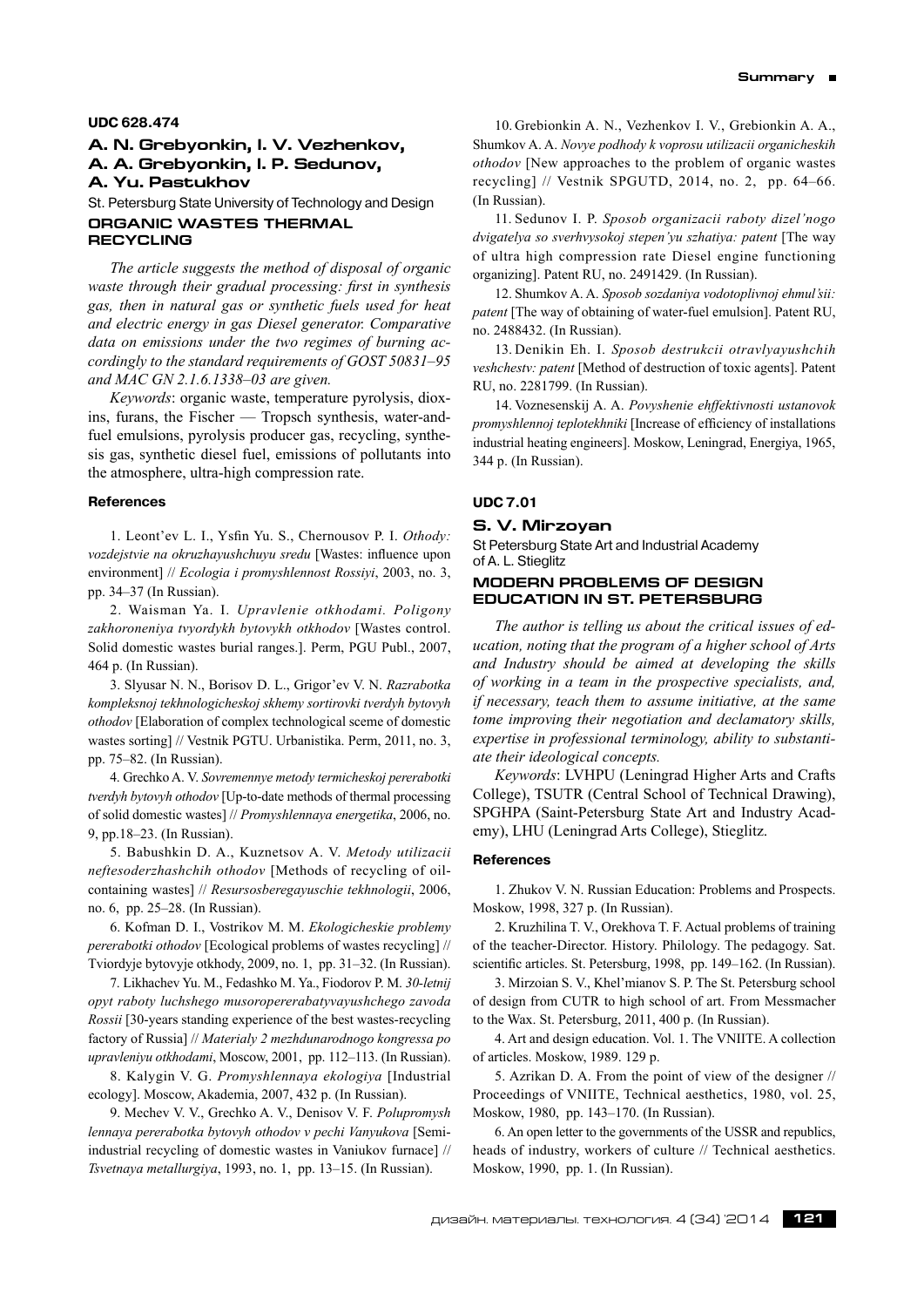### **UDC 628.474**

# **A. N. Grebyonkin, I. V. Vezhenkov, A. A. Grebyonkin, I. P. Sedunov, A. Yu. Pastukhov**

St. Petersburg State University of Technology and Design **Organic wastes thermal recycling**

*The article suggests the method of disposal of organic waste through their gradual processing: first in synthesis gas, then in natural gas or synthetic fuels used for heat and electric energy in gas Diesel generator. Comparative data on emissions under the two regimes of burning accordingly to the standard requirements of GOST 50831–95 and MAC GN 2.1.6.1338–03 are given.*

*Keywords*: organic waste, temperature pyrolysis, dioxins, furans, the Fischer — Tropsch synthesis, water-andfuel emulsions, pyrolysis producer gas, recycling, synthesis gas, synthetic diesel fuel, emissions of pollutants into the atmosphere, ultra-high compression rate.

#### **References**

1. Leont'ev L. I., Ysfin Yu. S., Chernousov P. I. *Othody: vozdejstvie na okruzhayushchuyu sredu* [Wastes: influence upon environment] // *Ecologia i promyshlennost Rossiyi*, 2003, no. 3, pp. 34–37 (In Russian).

2. Waisman Ya. I. *Upravlenie otkhodami. Poligony zakhoroneniya tvyordykh bytovykh otkhodov* [Wastes control. Solid domestic wastes burial ranges.]. Perm, PGU Publ., 2007, 464 p. (In Russian).

3. Slyusar N. N., Borisov D. L., Grigor'ev V. N. *Razrabotka kompleksnoj tekhnologicheskoj skhemy sortirovki tverdyh bytovyh othodov* [Elaboration of complex technological sceme of domestic wastes sorting] // Vestnik PGTU. Urbanistika. Perm, 2011, no. 3, pp. 75–82. (In Russian).

4. Grechko A. V. *Sovremennye metody termicheskoj pererabotki tverdyh bytovyh othodov* [Up-to-date methods of thermal processing of solid domestic wastes] // *Promyshlennaya energetika*, 2006, no. 9, pp.18–23. (In Russian).

5. Babushkin D. A., Kuznetsov A. V. *Metody utilizacii neftesoderzhashchih othodov* [Methods of recycling of oilcontaining wastes] // *Resursosberegayuschie tekhnologii*, 2006, no. 6, pp. 25–28. (In Russian).

6. Kofman D. I., Vostrikov M. M. *Ekologicheskie problemy pererabotki othodov* [Ecological problems of wastes recycling] // Tviordyje bytovyje otkhody, 2009, no. 1, pp. 31–32. (In Russian).

7. Likhachev Yu. M., Fedashko M. Ya., Fiodorov P. M. *30-letnij opyt raboty luchshego musoropererabatyvayushchego zavoda Rossii* [30-years standing experience of the best wastes-recycling factory of Russia] // *Materialy 2 mezhdunarodnogo kongressa po upravleniyu otkhodami*, Moscow, 2001, pp. 112–113. (In Russian).

8. Kalygin V. G. *Promyshlennaya ekologiya* [Industrial ecology]. Moscow, Akademia, 2007, 432 p. (In Russian).

9. Mechev V. V., Grechko A. V., Denisov V. F. *Polupromysh lennaya pererabotka bytovyh othodov v pechi Vanyukova* [Semiindustrial recycling of domestic wastes in Vaniukov furnace] // *Tsvetnaya metallurgiya*, 1993, no. 1, pp. 13–15. (In Russian).

10. Grebionkin A. N., Vezhenkov I. V., Grebionkin A. A., Shumkov A. A. *Novye podhody k voprosu utilizacii organicheskih othodov* [New approaches to the problem of organic wastes recycling] // Vestnik SPGUTD, 2014, no. 2, pp. 64–66. (In Russian).

11. Sedunov I. P. *Sposob organizacii raboty dizel'nogo dvigatelya so sverhvysokoj stepen'yu szhatiya: patent* [The way of ultra high compression rate Diesel engine functioning organizing]. Patent RU, no. 2491429. (In Russian).

12. Shumkov A. A. *Sposob sozdaniya vodotoplivnoj ehmul'sii: patent* [The way of obtaining of water-fuel emulsion]. Patent RU, no. 2488432. (In Russian).

13. Denikin Eh. I. *Sposob destrukcii otravlyayushchih veshchestv: patent* [Method of destruction of toxic agents]. Patent RU, no. 2281799. (In Russian).

14. Voznesenskij A. A. *Povyshenie ehffektivnosti ustanovok promyshlennoj teplotekhniki* [Increase of efficiency of installations industrial heating engineers]. Moskow, Leningrad, Energiya, 1965, 344 p. (In Russian).

# **UDC 7.01**

#### **S. V. Mirzoyan**

St Petersburg State Art and Industrial Academy of A. L. Stieglitz

# **Modern problems of design education in St. Petersburg**

*The author is telling us about the critical issues of education, noting that the program of a higher school of Arts and Industry should be aimed at developing the skills of working in a team in the prospective specialists, and, if necessary, teach them to assume initiative, at the same tome improving their negotiation and declamatory skills, expertise in professional terminology, ability to substantiate their ideological concepts.*

*Keywords*: LVHPU (Leningrad Higher Arts and Crafts College), TSUTR (Central School of Technical Drawing), SPGHPA (Saint-Petersburg State Art and Industry Academy), LHU (Leningrad Arts College), Stieglitz.

#### **References**

1. Zhukov V. N. Russian Education: Problems and Prospects. Moskow, 1998, 327 p. (In Russian).

2. Kruzhilina T. V., Orekhova T. F. Actual problems of training of the teacher-Director. History. Philology. The pedagogy. Sat. scientific articles. St. Petersburg, 1998, pp. 149–162. (In Russian).

3. Mirzoian S. V., Khel'mianov S. P. The St. Petersburg school of design from CUTR to high school of art. From Messmacher to the Wax. St. Petersburg, 2011, 400 p. (In Russian).

4. Art and design education. Vol. 1. The VNIITE. A collection of articles. Moskow, 1989. 129 p.

5. Azrikan D. A. From the point of view of the designer // Proceedings of VNIITE, Technical aesthetics, 1980, vol. 25, Moskow, 1980, pp. 143–170. (In Russian).

6. An open letter to the governments of the USSR and republics, heads of industry, workers of culture // Technical aesthetics. Moskow, 1990, pp. 1. (In Russian).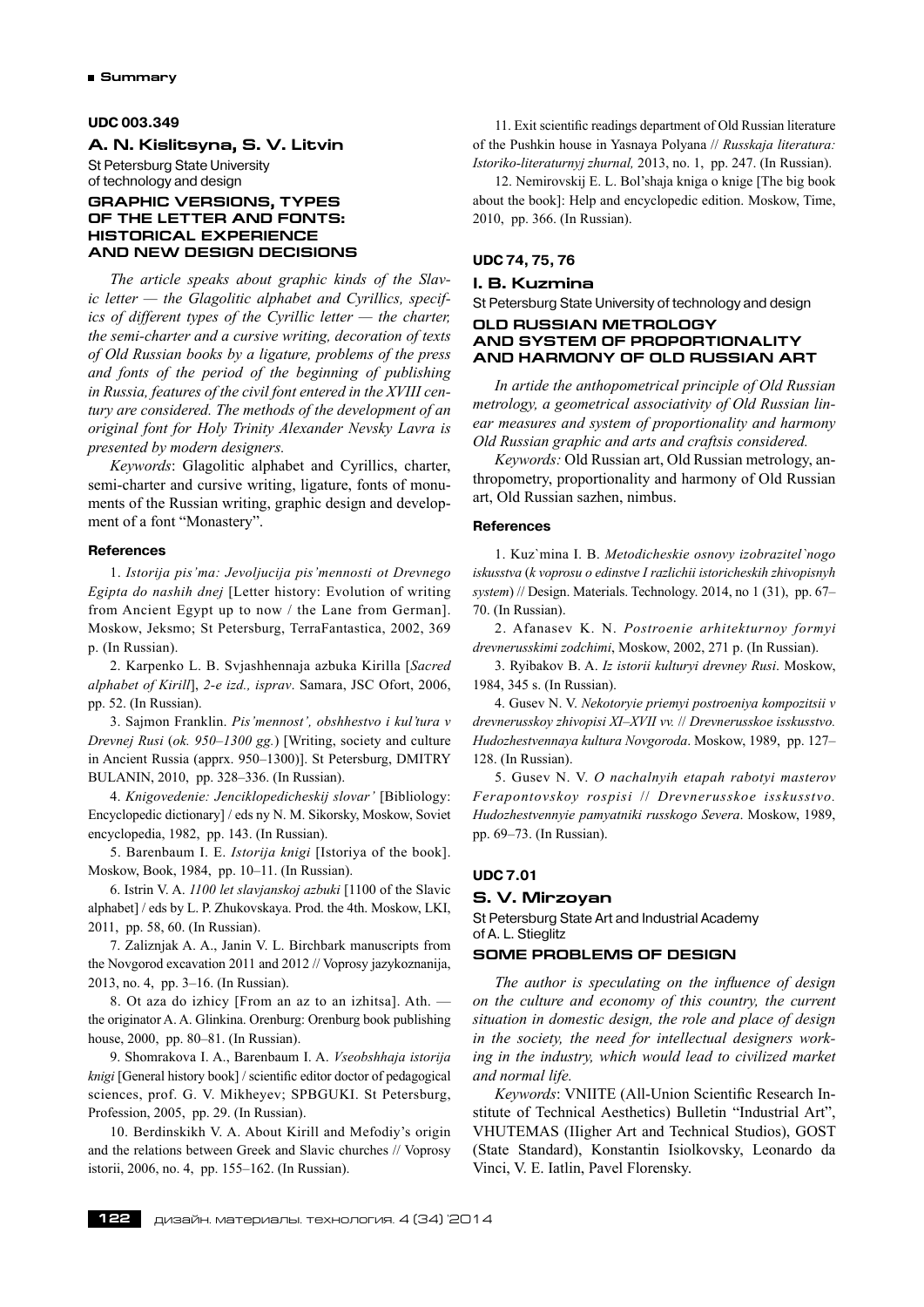### **UDC 003.349**

# **A. N. Kislitsyna, S. V. Litvin** St Petersburg State University of technology and design

# **GRAPHIC VERSIONS, TYPES OF THE LETTER AND FONTS: HISTORICAL EXPERIENCE AND NEW DESIGN DECISIONS**

*The article speaks about graphic kinds of the Slavic letter — the Glagolitic alphabet and Cyrillics, specifics of different types of the Cyrillic letter — the charter, the semi-charter and a cursive writing, decoration of texts of Old Russian books by a ligature, problems of the press and fonts of the period of the beginning of publishing in Russia, features of the civil font entered in the XVIII century are considered. The methods of the development of an original font for Holy Trinity Alexander Nevsky Lavra is presented by modern designers.*

*Keywords*: Glagolitic alphabet and Cyrillics, charter, semi-charter and cursive writing, ligature, fonts of monuments of the Russian writing, graphic design and development of a font "Monastery".

### **References**

1. *Istorija pis'ma: Jevoljucija pis'mennosti ot Drevnego Egipta do nashih dnej* [Letter history: Evolution of writing from Ancient Egypt up to now / the Lane from German]. Moskow, Jeksmo; St Petersburg, TerraFantastica, 2002, 369 p. (In Russian).

2. Karpenko L. B. Svjashhennaja azbuka Kirilla [*Sacred alphabet of Kirill*], *2-e izd., isprav*. Samara, JSC Ofort, 2006, pp. 52. (In Russian).

3. Sajmon Franklin. *Pis'mennost', obshhestvo i kul'tura v Drevnej Rusi* (*ok. 950–1300 gg.*) [Writing, society and culture in Ancient Russia (apprx. 950–1300)]. St Petersburg, DMITRY BULANIN, 2010, pp. 328–336. (In Russian).

4. *Knigovedenie: Jenciklopedicheskij slovar'* [Bibliology: Encyclopedic dictionary] / eds ny N. M. Sikorsky, Moskow, Soviet encyclopedia, 1982, pp. 143. (In Russian).

5. Barenbaum I. E. *Istorija knigi* [Istoriya of the book]. Moskow, Book, 1984, pp. 10–11. (In Russian).

6. Istrin V. A. *1100 let slavjanskoj azbuki* [1100 of the Slavic alphabet] / eds by L. P. Zhukovskaya. Prod. the 4th. Moskow, LKI, 2011, pp. 58, 60. (In Russian).

7. Zaliznjak A. A., Janin V. L. Birchbark manuscripts from the Novgorod excavation 2011 and 2012 // Voprosy jazykoznanija, 2013, no. 4, pp. 3–16. (In Russian).

8. Ot aza do izhicy [From an az to an izhitsa]. Ath. the originator A. A. Glinkina. Orenburg: Orenburg book publishing house, 2000, pp. 80–81. (In Russian).

9. Shomrakova I. A., Barenbaum I. A. *Vseobshhaja istorija knigi* [General history book] / scientific editor doctor of pedagogical sciences, prof. G. V. Mikheyev; SPBGUKI. St Petersburg, Profession, 2005, pp. 29. (In Russian).

10. Berdinskikh V. A. About Kirill and Mefodiy's origin and the relations between Greek and Slavic churches // Voprosy istorii, 2006, no. 4, pp. 155–162. (In Russian).

11. Exit scientific readings department of Old Russian literature of the Pushkin house in Yasnaya Polyana // *Russkaja literatura: Istoriko-literaturnyj zhurnal,* 2013, no. 1, pp. 247. (In Russian).

12. Nemirovskij E. L. Bol'shaja kniga o knige [The big book about the book]: Help and encyclopedic edition. Moskow, Time, 2010, pp. 366. (In Russian).

# **UDC 74, 75, 76**

# **I. B. Kuzmina**

St Petersburg State University of technology and design

# **Old Russian metrology and system of proportionality and harmony of Old Russian art**

*In artide the anthopometrical principle of Old Russian metrology, a geometrical associativity of Old Russian linear measures and system of proportionality and harmony Old Russian graphic and arts and craftsis considered.*

*Keywords:* Old Russian art, Old Russian metrology, anthropometry, proportionality and harmony of Old Russian art, Old Russian sazhen, nimbus.

#### **References**

1. Kuz`mina I. B. *Metodicheskie osnovy izobrazitel`nogo iskusstva* (*k voprosu o edinstve I razlichii istoricheskih zhivopisnyh system*) // Design. Materials. Technology. 2014, no 1 (31), pp. 67– 70. (In Russian).

2. Afanasev K. N. *Postroenie arhitekturnoy formyi drevnerusskimi zodchimi*, Moskow, 2002, 271 p. (In Russian).

3. Ryibakov B. A. *Iz istorii kulturyi drevney Rusi*. Moskow, 1984, 345 s. (In Russian).

4. Gusev N. V. *Nekotoryie priemyi postroeniya kompozitsii v drevnerusskoy zhivopisi XI–XVII vv.* // *Drevnerusskoe isskusstvo. Hudozhestvennaya kultura Novgoroda*. Moskow, 1989, pp. 127– 128. (In Russian).

5. Gusev N. V. *O nachalnyih etapah rabotyi masterov Ferapontovskoy rospisi* // *Drevnerusskoe isskusstvo. Hudozhestvennyie pamyatniki russkogo Severa*. Moskow, 1989, pp. 69–73. (In Russian).

# **UDC 7.01**

#### **S. V. Mirzoyan**

St Petersburg State Art and Industrial Academy of A. L. Stieglitz

# **Some problems of design**

*The author is speculating on the influence of design on the culture and economy of this country, the current situation in domestic design, the role and place of design in the society, the need for intellectual designers working in the industry, which would lead to civilized market and normal life.*

*Keywords*: VNIITE (All-Union Scientific Research Institute of Technical Aesthetics) Bulletin "Industrial Art", VHUTEMAS (IIigher Art and Technical Studios), GOST (State Standard), Konstantin Isiolkovsky, Leonardo da Vinci, V. E. Iatlin, Pavel Florensky.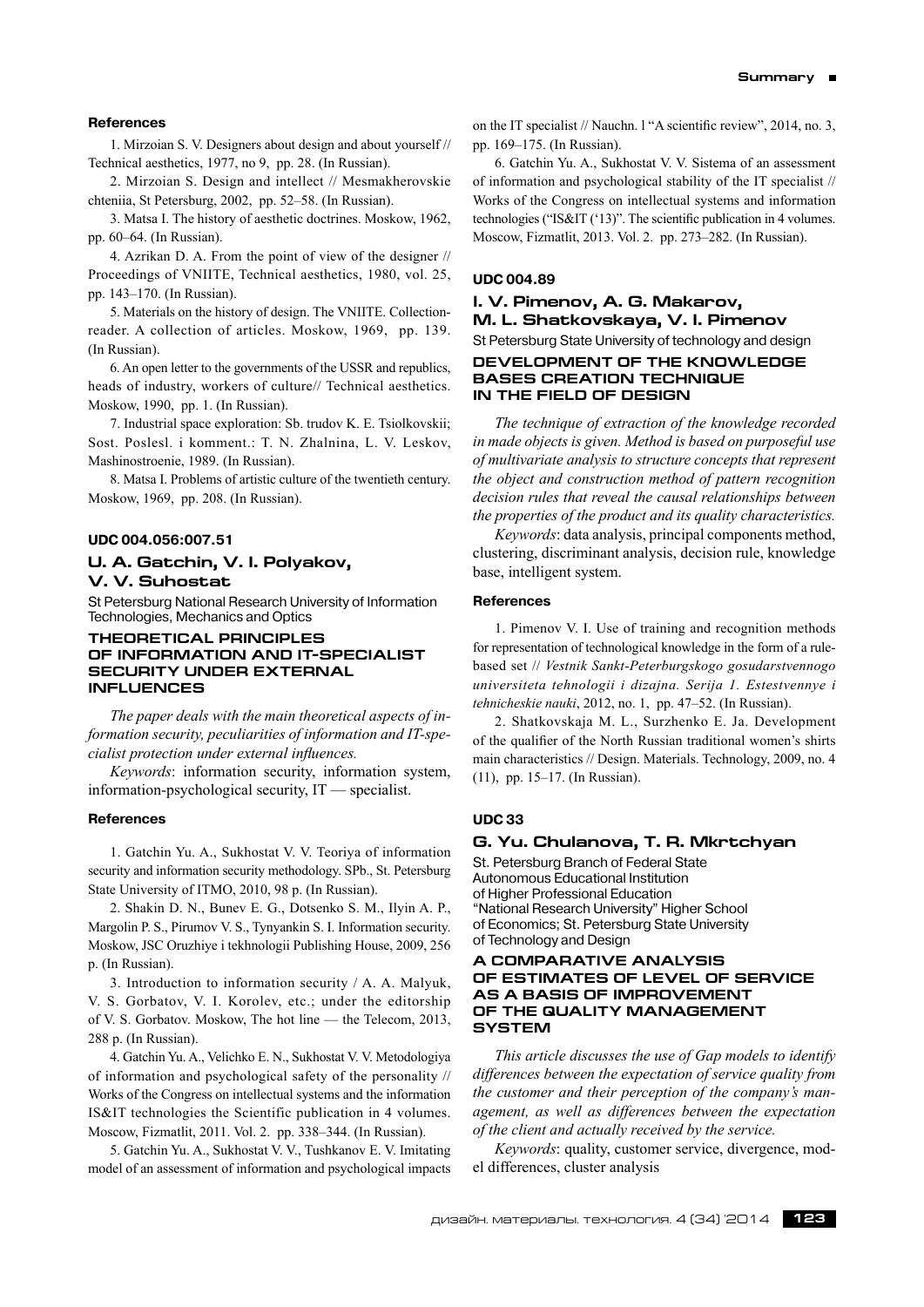# **References**

1. Mirzoian S. V. Designers about design and about yourself // Technical aesthetics, 1977, no 9, pp. 28. (In Russian).

2. Mirzoian S. Design and intellect // Mesmakherovskie chteniia, St Petersburg, 2002, pp. 52–58. (In Russian).

3. Matsa I. The history of aesthetic doctrines. Moskow, 1962, pp. 60–64. (In Russian).

4. Azrikan D. A. From the point of view of the designer // Proceedings of VNIITE, Technical aesthetics, 1980, vol. 25, pp. 143–170. (In Russian).

5. Materials on the history of design. The VNIITE. Collectionreader. A collection of articles. Moskow, 1969, pp. 139. (In Russian).

6. An open letter to the governments of the USSR and republics, heads of industry, workers of culture// Technical aesthetics. Moskow, 1990, pp. 1. (In Russian).

7. Industrial space exploration: Sb. trudov K. E. Tsiolkovskii; Sost. Poslesl. i komment.: T. N. Zhalnina, L. V. Leskov, Mashinostroenie, 1989. (In Russian).

8. Matsa I. Problems of artistic culture of the twentieth century. Moskow, 1969, pp. 208. (In Russian).

#### **UDC 004.056:007.51**

# **U. A. Gatchin, V. I. Polyakov, V. V. Suhostat**

St Petersburg National Research University of Information Technologies, Mechanics and Optics

### **Theoretical principles of information and It-specialist security under external influences**

*The paper deals with the main theoretical aspects of information security, peculiarities of information and IT-specialist protection under external influences.*

*Keywords*: information security, information system, information-psychological security, IT — specialist.

### **References**

1. Gatchin Yu. A., Sukhostat V. V. Teoriya of information security and information security methodology. SPb., St. Petersburg State University of ITMO, 2010, 98 p. (In Russian).

2. Shakin D. N., Bunev E. G., Dotsenko S. M., Ilyin A. P., Margolin P. S., Pirumov V. S., Tynyankin S. I. Information security. Moskow, JSC Oruzhiye i tekhnologii Publishing House, 2009, 256 p. (In Russian).

3. Introduction to information security / A. A. Malyuk, V. S. Gorbatov, V. I. Korolev, etc.; under the editorship of V. S. Gorbatov. Moskow, The hot line — the Telecom, 2013, 288 p. (In Russian).

4. Gatchin Yu. A., Velichko E. N., Sukhostat V. V. Metodologiya of information and psychological safety of the personality // Works of the Congress on intellectual systems and the information IS&IT technologies the Scientific publication in 4 volumes. Moscow, Fizmatlit, 2011. Vol. 2. pp. 338–344. (In Russian).

5. Gatchin Yu. A., Sukhostat V. V., Tushkanov E. V. Imitating model of an assessment of information and psychological impacts on the IT specialist // Nauchn. l "A scientific review", 2014, no. 3, pp. 169–175. (In Russian).

6. Gatchin Yu. A., Sukhostat V. V. Sistema of an assessment of information and psychological stability of the IT specialist // Works of the Congress on intellectual systems and information technologies ("IS&IT ('13)". The scientific publication in 4 volumes. Moscow, Fizmatlit, 2013. Vol. 2. pp. 273–282. (In Russian).

# **UDC 004.89**

# **I. V. Pimenov, A. G. Makarov, M. L. Shatkovskaya, V. I. Pimenov** St Petersburg State University of technology and design **Development of the knowledge bases creation technique in the field of design**

*The technique of extraction of the knowledge recorded in made objects is given. Method is based on purposeful use of multivariate analysis to structure concepts that represent the object and construction method of pattern recognition decision rules that reveal the causal relationships between the properties of the product and its quality characteristics.*

*Keywords*: data analysis, principal components method, clustering, discriminant analysis, decision rule, knowledge base, intelligent system.

# **References**

1. Pimenov V. I. Use of training and recognition methods for representation of technological knowledge in the form of a rulebased set // *Vestnik Sankt-Peterburgskogo gosudarstvennogo universiteta tehnologii i dizajna. Serija 1. Estestvennye i tehnicheskie nauki*, 2012, no. 1, pp. 47–52. (In Russian).

2. Shatkovskaja M. L., Surzhenko E. Ja. Development of the qualifier of the North Russian traditional women's shirts main characteristics // Design. Materials. Technology, 2009, no. 4 (11), pp. 15–17. (In Russian).

# **UDC 33**

# **G. Yu. Chulanova, T. R. Mkrtchyan**

St. Petersburg Branch of Federal State Autonomous Educational Institution of Higher Professional Education "National Research University" Higher School of Economics; St. Petersburg State University of Technology and Design

# **A COMPARATIVE ANALYSIS OF ESTIMATES OF LEVEL OF SERVICE AS A BASIS OF IMPROVEMENT OF THE QUALITY MANAGEMENT SYSTEM**

*This article discusses the use of Gap models to identify differences between the expectation of service quality from the customer and their perception of the company's management, as well as differences between the expectation of the client and actually received by the service.*

*Keywords*: quality, customer service, divergence, model differences, cluster analysis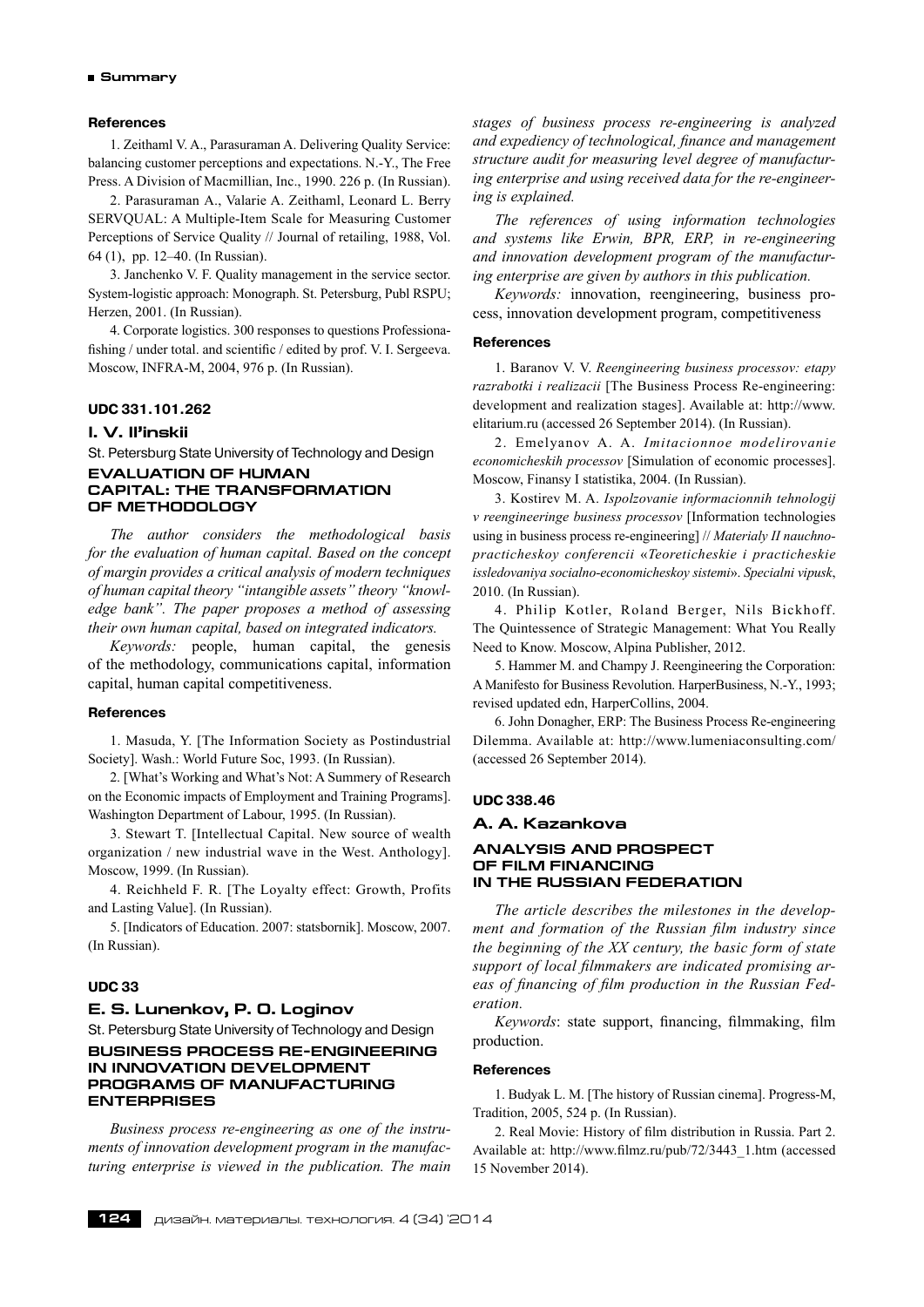# **References**

1. Zeithaml V. A., Parasuraman A. Delivering Quality Service: balancing customer perceptions and expectations. N.-Y., The Free Press. A Division of Macmillian, Inc., 1990. 226 p. (In Russian).

2. Parasuraman А., Valarie A. Zeithaml, Leonard L. Berry SERVQUAL: A Multiple-Item Scale for Measuring Customer Perceptions of Service Quality // Journal of retailing, 1988, Vol. 64 (1), pp. 12–40. (In Russian).

3. Janchenko V. F. Quality management in the service sector. System-logistic approach: Monograph. St. Petersburg, Publ RSPU; Herzen, 2001. (In Russian).

4. Corporate logistics. 300 responses to questions Professionafishing / under total. and scientific / edited by prof. V. I. Sergeeva. Moscow, INFRA-M, 2004, 976 p. (In Russian).

# **UDC 331.101.262**

# **I. V. Il'inskii**

St. Petersburg State University of Technology and Design **EVALUATION OF HUMAN CAPITAL: THE TRANSFORMATION OF METHODOLOGY**

*The author considers the methodological basis for the evaluation of human capital. Based on the concept of margin provides a critical analysis of modern techniques of human capital theory "intangible assets" theory "knowledge bank". The paper proposes a method of assessing their own human capital, based on integrated indicators.*

*Keywords:* people, human capital, the genesis of the methodology, communications capital, information capital, human capital competitiveness.

# **References**

1. Masuda, Y. [The Information Society as Postindustrial Society]. Wash.: World Future Soc, 1993. (In Russian).

2. [What's Working and What's Not: A Summery of Research on the Economic impacts of Employment and Training Programs]. Washington Department of Labour, 1995. (In Russian).

3. Stewart T. [Intellectual Capital. New source of wealth organization / new industrial wave in the West. Anthology]. Moscow, 1999. (In Russian).

4. Reichheld F. R. [The Loyalty effect: Growth, Profits and Lasting Value]. (In Russian).

5. [Indicators of Education. 2007: statsbornik]. Moscow, 2007. (In Russian).

### **UDC 33**

# **E. S. Lunenkov, P. O. Loginov**

St. Petersburg State University of Technology and Design **Business process re-engineering in innovation development programs of manufacturing enterprises**

*Business process re-engineering as one of the instruments of innovation development program in the manufacturing enterprise is viewed in the publication. The main* *stages of business process re-engineering is analyzed and expediency of technological, finance and management structure audit for measuring level degree of manufacturing enterprise and using received data for the re-engineering is explained.*

*The references of using information technologies and systems like Erwin, BPR, ERP, in re-engineering and innovation development program of the manufacturing enterprise are given by authors in this publication.*

*Keywords:* innovation, reengineering, business process, innovation development program, competitiveness

#### **References**

1. Baranov V. V. *Reengineering business processov: etapy razrabotki i realizacii* [The Business Process Re-engineering: development and realization stages]. Available at: http://www. elitarium.ru (accessed 26 September 2014). (In Russian).

2. Emelyanov A. A. *Imitacionnoe modelirovanie economicheskih processov* [Simulation of economic processes]. Moscow, Finansy I statistika, 2004. (In Russian).

3. Kostirev M. A. *Ispolzovanie informacionnih tehnologij v reengineeringe business processov* [Information technologies using in business process re-engineering] // *Materialy II nauchnopracticheskoy conferencii* «*Teoreticheskie i practicheskie issledovaniya socialno-economicheskoy sistemi*». *Specialni vipusk*, 2010. (In Russian).

4. Philip Kotler, Roland Berger, Nils Bickhoff. The Quintessence of Strategic Management: What You Really Need to Know. Moscow, Alpina Publisher, 2012.

5. Hammer M. and Champy J. Reengineering the Corporation: A Manifesto for Business Revolution. HarperBusiness, N.-Y., 1993; revised updated edn, HarperCollins, 2004.

6. John Donagher, ERP: The Business Process Re-engineering Dilemma. Available at: http://www.lumeniaconsulting.com/ (accessed 26 September 2014).

#### **UDC 338.46**

### **A. A. Kazankova**

# **ANALYSIS AND PROSPECT OF FILM FINANCING IN THE RUSSIAN FEDERATION**

*The article describes the milestones in the development and formation of the Russian film industry since the beginning of the XX century, the basic form of state support of local filmmakers are indicated promising areas of financing of film production in the Russian Federation.*

*Keywords*: state support, financing, filmmaking, film production.

#### **References**

1. Budyak L. M. [The history of Russian cinema]. Progress-M, Tradition, 2005, 524 p. (In Russian).

2. Real Movie: History of film distribution in Russia. Part 2. Available at: http://www.filmz.ru/pub/72/3443\_1.htm (accessed 15 November 2014).